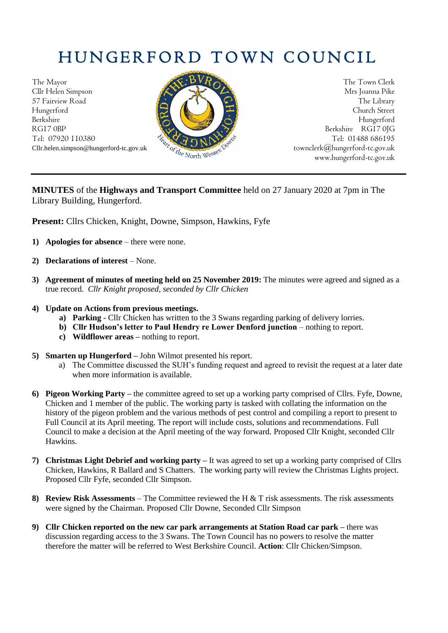## HUNGERFORD TOWN COUNCIL

The Mayor The Town Clerk Cllr Helen Simpson Mrs Joanna Pike 57 Fairview Road The Library Road The Library Hungerford Church Street Berkshire Hungerford RG17 0BP Berkshire RG17 0JG Tel: 07920 110380



Cllr.helen.simpson@hungerford-tc.gov.uk [townclerk@hungerford-tc.gov.uk](mailto:townclerk@hungerford-tc.gov.uk) townclerk@hungerford-tc.gov.uk www.hungerford-tc.gov.uk www.hungerford-tc.gov.uk

## **MINUTES** of the **Highways and Transport Committee** held on 27 January 2020 at 7pm in The Library Building, Hungerford.

**Present:** Cllrs Chicken, Knight, Downe, Simpson, Hawkins, Fyfe

- **1) Apologies for absence** there were none.
- **2) Declarations of interest** None.
- **3) Agreement of minutes of meeting held on 25 November 2019:** The minutes were agreed and signed as a true record. *Cllr Knight proposed, seconded by Cllr Chicken*
- **4) Update on Actions from previous meetings.** 
	- **a) Parking -** Cllr Chicken has written to the 3 Swans regarding parking of delivery lorries.
	- **b) Cllr Hudson's letter to Paul Hendry re Lower Denford junction** nothing to report.
	- **c) Wildflower areas –** nothing to report.
- **5) Smarten up Hungerford –** John Wilmot presented his report.
	- a) The Committee discussed the SUH's funding request and agreed to revisit the request at a later date when more information is available.
- **6) Pigeon Working Party –** the committee agreed to set up a working party comprised of Cllrs. Fyfe, Downe, Chicken and 1 member of the public. The working party is tasked with collating the information on the history of the pigeon problem and the various methods of pest control and compiling a report to present to Full Council at its April meeting. The report will include costs, solutions and recommendations. Full Council to make a decision at the April meeting of the way forward. Proposed Cllr Knight, seconded Cllr Hawkins.
- **7) Christmas Light Debrief and working party –** It was agreed to set up a working party comprised of Cllrs Chicken, Hawkins, R Ballard and S Chatters. The working party will review the Christmas Lights project. Proposed Cllr Fyfe, seconded Cllr Simpson.
- **8) Review Risk Assessments**  The Committee reviewed the H & T risk assessments. The risk assessments were signed by the Chairman. Proposed Cllr Downe, Seconded Cllr Simpson
- **9) Cllr Chicken reported on the new car park arrangements at Station Road car park –** there was discussion regarding access to the 3 Swans. The Town Council has no powers to resolve the matter therefore the matter will be referred to West Berkshire Council. **Action**: Cllr Chicken/Simpson.